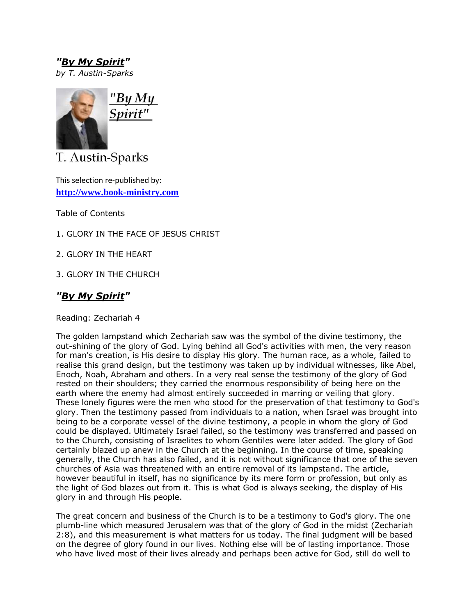*"By My Spirit" by T. Austin-Sparks*



T. Austin-Sparks

This selection re-published by: **[http://www.book-ministry.com](http://www.book-ministry.com/)**

Table of Contents

1. GLORY IN THE FACE OF JESUS CHRIST

2. GLORY IN THE HEART

3. GLORY IN THE CHURCH

## *"By My Spirit"*

Reading: Zechariah 4

The golden lampstand which Zechariah saw was the symbol of the divine testimony, the out-shining of the glory of God. Lying behind all God's activities with men, the very reason for man's creation, is His desire to display His glory. The human race, as a whole, failed to realise this grand design, but the testimony was taken up by individual witnesses, like Abel, Enoch, Noah, Abraham and others. In a very real sense the testimony of the glory of God rested on their shoulders; they carried the enormous responsibility of being here on the earth where the enemy had almost entirely succeeded in marring or veiling that glory. These lonely figures were the men who stood for the preservation of that testimony to God's glory. Then the testimony passed from individuals to a nation, when Israel was brought into being to be a corporate vessel of the divine testimony, a people in whom the glory of God could be displayed. Ultimately Israel failed, so the testimony was transferred and passed on to the Church, consisting of Israelites to whom Gentiles were later added. The glory of God certainly blazed up anew in the Church at the beginning. In the course of time, speaking generally, the Church has also failed, and it is not without significance that one of the seven churches of Asia was threatened with an entire removal of its lampstand. The article, however beautiful in itself, has no significance by its mere form or profession, but only as the light of God blazes out from it. This is what God is always seeking, the display of His glory in and through His people.

The great concern and business of the Church is to be a testimony to God's glory. The one plumb-line which measured Jerusalem was that of the glory of God in the midst (Zechariah 2:8), and this measurement is what matters for us today. The final judgment will be based on the degree of glory found in our lives. Nothing else will be of lasting importance. Those who have lived most of their lives already and perhaps been active for God, still do well to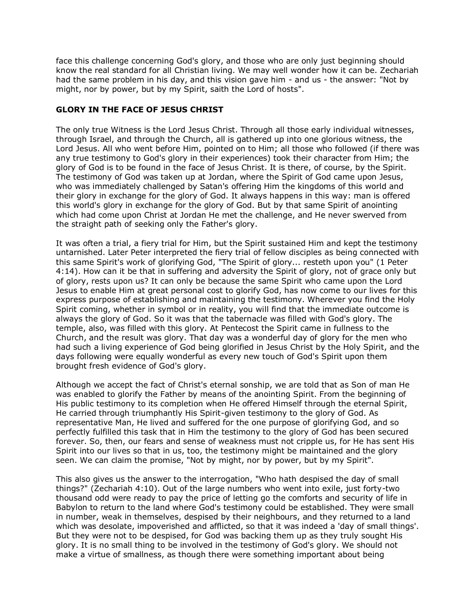face this challenge concerning God's glory, and those who are only just beginning should know the real standard for all Christian living. We may well wonder how it can be. Zechariah had the same problem in his day, and this vision gave him - and us - the answer: "Not by might, nor by power, but by my Spirit, saith the Lord of hosts".

## **GLORY IN THE FACE OF JESUS CHRIST**

The only true Witness is the Lord Jesus Christ. Through all those early individual witnesses, through Israel, and through the Church, all is gathered up into one glorious witness, the Lord Jesus. All who went before Him, pointed on to Him; all those who followed (if there was any true testimony to God's glory in their experiences) took their character from Him; the glory of God is to be found in the face of Jesus Christ. It is there, of course, by the Spirit. The testimony of God was taken up at Jordan, where the Spirit of God came upon Jesus, who was immediately challenged by Satan's offering Him the kingdoms of this world and their glory in exchange for the glory of God. It always happens in this way: man is offered this world's glory in exchange for the glory of God. But by that same Spirit of anointing which had come upon Christ at Jordan He met the challenge, and He never swerved from the straight path of seeking only the Father's glory.

It was often a trial, a fiery trial for Him, but the Spirit sustained Him and kept the testimony untarnished. Later Peter interpreted the fiery trial of fellow disciples as being connected with this same Spirit's work of glorifying God, "The Spirit of glory... resteth upon you" (1 Peter 4:14). How can it be that in suffering and adversity the Spirit of glory, not of grace only but of glory, rests upon us? It can only be because the same Spirit who came upon the Lord Jesus to enable Him at great personal cost to glorify God, has now come to our lives for this express purpose of establishing and maintaining the testimony. Wherever you find the Holy Spirit coming, whether in symbol or in reality, you will find that the immediate outcome is always the glory of God. So it was that the tabernacle was filled with God's glory. The temple, also, was filled with this glory. At Pentecost the Spirit came in fullness to the Church, and the result was glory. That day was a wonderful day of glory for the men who had such a living experience of God being glorified in Jesus Christ by the Holy Spirit, and the days following were equally wonderful as every new touch of God's Spirit upon them brought fresh evidence of God's glory.

Although we accept the fact of Christ's eternal sonship, we are told that as Son of man He was enabled to glorify the Father by means of the anointing Spirit. From the beginning of His public testimony to its completion when He offered Himself through the eternal Spirit, He carried through triumphantly His Spirit-given testimony to the glory of God. As representative Man, He lived and suffered for the one purpose of glorifying God, and so perfectly fulfilled this task that in Him the testimony to the glory of God has been secured forever. So, then, our fears and sense of weakness must not cripple us, for He has sent His Spirit into our lives so that in us, too, the testimony might be maintained and the glory seen. We can claim the promise, "Not by might, nor by power, but by my Spirit".

This also gives us the answer to the interrogation, "Who hath despised the day of small things?" (Zechariah 4:10). Out of the large numbers who went into exile, just forty-two thousand odd were ready to pay the price of letting go the comforts and security of life in Babylon to return to the land where God's testimony could be established. They were small in number, weak in themselves, despised by their neighbours, and they returned to a land which was desolate, impoverished and afflicted, so that it was indeed a 'day of small things'. But they were not to be despised, for God was backing them up as they truly sought His glory. It is no small thing to be involved in the testimony of God's glory. We should not make a virtue of smallness, as though there were something important about being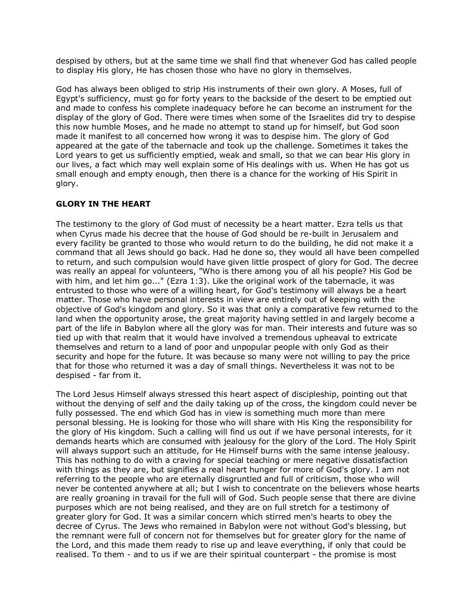despised by others, but at the same time we shall find that whenever God has called people to display His glory, He has chosen those who have no glory in themselves.

God has always been obliged to strip His instruments of their own glory. A Moses, full of Egypt's sufficiency, must go for forty years to the backside of the desert to be emptied out and made to confess his complete inadequacy before he can become an instrument for the display of the glory of God. There were times when some of the Israelites did try to despise this now humble Moses, and he made no attempt to stand up for himself, but God soon made it manifest to all concerned how wrong it was to despise him. The glory of God appeared at the gate of the tabernacle and took up the challenge. Sometimes it takes the Lord years to get us sufficiently emptied, weak and small, so that we can bear His glory in our lives, a fact which may well explain some of His dealings with us. When He has got us small enough and empty enough, then there is a chance for the working of His Spirit in glory.

## **GLORY IN THE HEART**

The testimony to the glory of God must of necessity be a heart matter. Ezra tells us that when Cyrus made his decree that the house of God should be re-built in Jerusalem and every facility be granted to those who would return to do the building, he did not make it a command that all Jews should go back. Had he done so, they would all have been compelled to return, and such compulsion would have given little prospect of glory for God. The decree was really an appeal for volunteers, "Who is there among you of all his people? His God be with him, and let him go..." (Ezra 1:3). Like the original work of the tabernacle, it was entrusted to those who were of a willing heart, for God's testimony will always be a heart matter. Those who have personal interests in view are entirely out of keeping with the objective of God's kingdom and glory. So it was that only a comparative few returned to the land when the opportunity arose, the great majority having settled in and largely become a part of the life in Babylon where all the glory was for man. Their interests and future was so tied up with that realm that it would have involved a tremendous upheaval to extricate themselves and return to a land of poor and unpopular people with only God as their security and hope for the future. It was because so many were not willing to pay the price that for those who returned it was a day of small things. Nevertheless it was not to be despised - far from it.

The Lord Jesus Himself always stressed this heart aspect of discipleship, pointing out that without the denying of self and the daily taking up of the cross, the kingdom could never be fully possessed. The end which God has in view is something much more than mere personal blessing. He is looking for those who will share with His King the responsibility for the glory of His kingdom. Such a calling will find us out if we have personal interests, for it demands hearts which are consumed with jealousy for the glory of the Lord. The Holy Spirit will always support such an attitude, for He Himself burns with the same intense jealousy. This has nothing to do with a craving for special teaching or mere negative dissatisfaction with things as they are, but signifies a real heart hunger for more of God's glory. I am not referring to the people who are eternally disgruntled and full of criticism, those who will never be contented anywhere at all; but I wish to concentrate on the believers whose hearts are really groaning in travail for the full will of God. Such people sense that there are divine purposes which are not being realised, and they are on full stretch for a testimony of greater glory for God. It was a similar concern which stirred men's hearts to obey the decree of Cyrus. The Jews who remained in Babylon were not without God's blessing, but the remnant were full of concern not for themselves but for greater glory for the name of the Lord, and this made them ready to rise up and leave everything, if only that could be realised. To them - and to us if we are their spiritual counterpart - the promise is most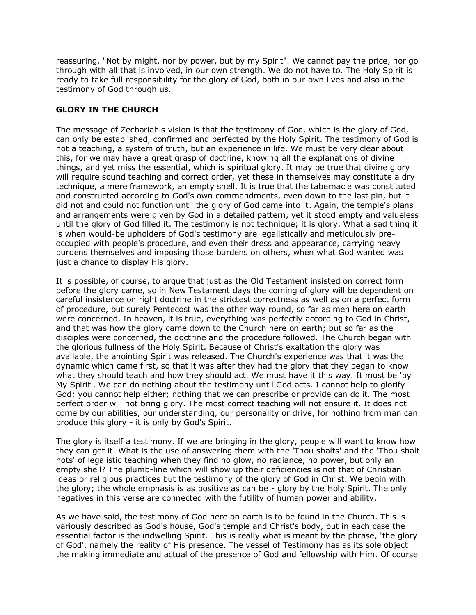reassuring, "Not by might, nor by power, but by my Spirit". We cannot pay the price, nor go through with all that is involved, in our own strength. We do not have to. The Holy Spirit is ready to take full responsibility for the glory of God, both in our own lives and also in the testimony of God through us.

## **GLORY IN THE CHURCH**

The message of Zechariah's vision is that the testimony of God, which is the glory of God, can only be established, confirmed and perfected by the Holy Spirit. The testimony of God is not a teaching, a system of truth, but an experience in life. We must be very clear about this, for we may have a great grasp of doctrine, knowing all the explanations of divine things, and yet miss the essential, which is spiritual glory. It may be true that divine glory will require sound teaching and correct order, yet these in themselves may constitute a dry technique, a mere framework, an empty shell. It is true that the tabernacle was constituted and constructed according to God's own commandments, even down to the last pin, but it did not and could not function until the glory of God came into it. Again, the temple's plans and arrangements were given by God in a detailed pattern, yet it stood empty and valueless until the glory of God filled it. The testimony is not technique; it is glory. What a sad thing it is when would-be upholders of God's testimony are legalistically and meticulously preoccupied with people's procedure, and even their dress and appearance, carrying heavy burdens themselves and imposing those burdens on others, when what God wanted was just a chance to display His glory.

It is possible, of course, to argue that just as the Old Testament insisted on correct form before the glory came, so in New Testament days the coming of glory will be dependent on careful insistence on right doctrine in the strictest correctness as well as on a perfect form of procedure, but surely Pentecost was the other way round, so far as men here on earth were concerned. In heaven, it is true, everything was perfectly according to God in Christ, and that was how the glory came down to the Church here on earth; but so far as the disciples were concerned, the doctrine and the procedure followed. The Church began with the glorious fullness of the Holy Spirit. Because of Christ's exaltation the glory was available, the anointing Spirit was released. The Church's experience was that it was the dynamic which came first, so that it was after they had the glory that they began to know what they should teach and how they should act. We must have it this way. It must be 'by My Spirit'. We can do nothing about the testimony until God acts. I cannot help to glorify God; you cannot help either; nothing that we can prescribe or provide can do it. The most perfect order will not bring glory. The most correct teaching will not ensure it. It does not come by our abilities, our understanding, our personality or drive, for nothing from man can produce this glory - it is only by God's Spirit.

The glory is itself a testimony. If we are bringing in the glory, people will want to know how they can get it. What is the use of answering them with the 'Thou shalts' and the 'Thou shalt nots' of legalistic teaching when they find no glow, no radiance, no power, but only an empty shell? The plumb-line which will show up their deficiencies is not that of Christian ideas or religious practices but the testimony of the glory of God in Christ. We begin with the glory; the whole emphasis is as positive as can be - glory by the Holy Spirit. The only negatives in this verse are connected with the futility of human power and ability.

As we have said, the testimony of God here on earth is to be found in the Church. This is variously described as God's house, God's temple and Christ's body, but in each case the essential factor is the indwelling Spirit. This is really what is meant by the phrase, 'the glory of God', namely the reality of His presence. The vessel of Testimony has as its sole object the making immediate and actual of the presence of God and fellowship with Him. Of course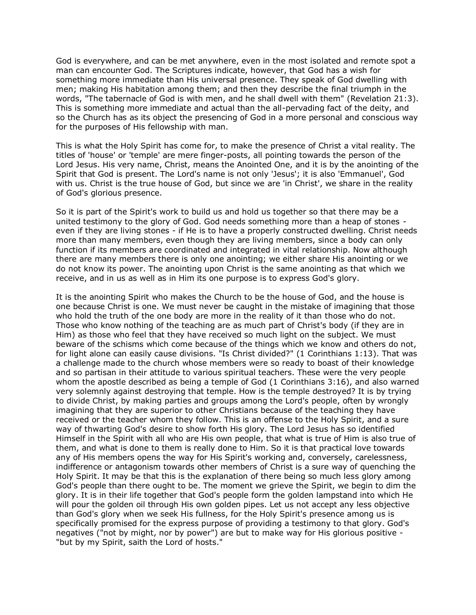God is everywhere, and can be met anywhere, even in the most isolated and remote spot a man can encounter God. The Scriptures indicate, however, that God has a wish for something more immediate than His universal presence. They speak of God dwelling with men; making His habitation among them; and then they describe the final triumph in the words, "The tabernacle of God is with men, and he shall dwell with them" (Revelation 21:3). This is something more immediate and actual than the all-pervading fact of the deity, and so the Church has as its object the presencing of God in a more personal and conscious way for the purposes of His fellowship with man.

This is what the Holy Spirit has come for, to make the presence of Christ a vital reality. The titles of 'house' or 'temple' are mere finger-posts, all pointing towards the person of the Lord Jesus. His very name, Christ, means the Anointed One, and it is by the anointing of the Spirit that God is present. The Lord's name is not only 'Jesus'; it is also 'Emmanuel', God with us. Christ is the true house of God, but since we are 'in Christ', we share in the reality of God's glorious presence.

So it is part of the Spirit's work to build us and hold us together so that there may be a united testimony to the glory of God. God needs something more than a heap of stones even if they are living stones - if He is to have a properly constructed dwelling. Christ needs more than many members, even though they are living members, since a body can only function if its members are coordinated and integrated in vital relationship. Now although there are many members there is only one anointing; we either share His anointing or we do not know its power. The anointing upon Christ is the same anointing as that which we receive, and in us as well as in Him its one purpose is to express God's glory.

It is the anointing Spirit who makes the Church to be the house of God, and the house is one because Christ is one. We must never be caught in the mistake of imagining that those who hold the truth of the one body are more in the reality of it than those who do not. Those who know nothing of the teaching are as much part of Christ's body (if they are in Him) as those who feel that they have received so much light on the subject. We must beware of the schisms which come because of the things which we know and others do not, for light alone can easily cause divisions. "Is Christ divided?" (1 Corinthians 1:13). That was a challenge made to the church whose members were so ready to boast of their knowledge and so partisan in their attitude to various spiritual teachers. These were the very people whom the apostle described as being a temple of God (1 Corinthians 3:16), and also warned very solemnly against destroying that temple. How is the temple destroyed? It is by trying to divide Christ, by making parties and groups among the Lord's people, often by wrongly imagining that they are superior to other Christians because of the teaching they have received or the teacher whom they follow. This is an offense to the Holy Spirit, and a sure way of thwarting God's desire to show forth His glory. The Lord Jesus has so identified Himself in the Spirit with all who are His own people, that what is true of Him is also true of them, and what is done to them is really done to Him. So it is that practical love towards any of His members opens the way for His Spirit's working and, conversely, carelessness, indifference or antagonism towards other members of Christ is a sure way of quenching the Holy Spirit. It may be that this is the explanation of there being so much less glory among God's people than there ought to be. The moment we grieve the Spirit, we begin to dim the glory. It is in their life together that God's people form the golden lampstand into which He will pour the golden oil through His own golden pipes. Let us not accept any less objective than God's glory when we seek His fullness, for the Holy Spirit's presence among us is specifically promised for the express purpose of providing a testimony to that glory. God's negatives ("not by might, nor by power") are but to make way for His glorious positive - "but by my Spirit, saith the Lord of hosts."